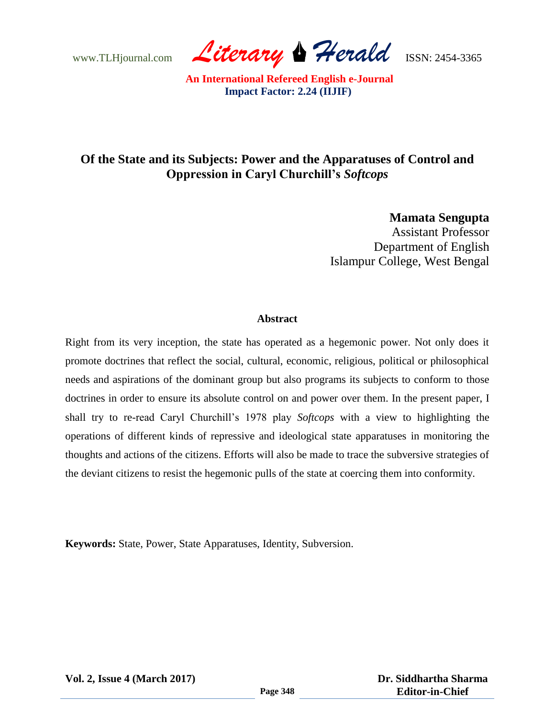www.TLHjournal.com *Literary Herald*ISSN: 2454-3365

# **Of the State and its Subjects: Power and the Apparatuses of Control and Oppression in Caryl Churchill's** *Softcops*

**Mamata Sengupta** Assistant Professor Department of English Islampur College, West Bengal

#### **Abstract**

Right from its very inception, the state has operated as a hegemonic power. Not only does it promote doctrines that reflect the social, cultural, economic, religious, political or philosophical needs and aspirations of the dominant group but also programs its subjects to conform to those doctrines in order to ensure its absolute control on and power over them. In the present paper, I shall try to re-read Caryl Churchill"s 1978 play *Softcops* with a view to highlighting the operations of different kinds of repressive and ideological state apparatuses in monitoring the thoughts and actions of the citizens. Efforts will also be made to trace the subversive strategies of the deviant citizens to resist the hegemonic pulls of the state at coercing them into conformity.

**Keywords:** State, Power, State Apparatuses, Identity, Subversion.

**Vol. 2, Issue 4 (March 2017)**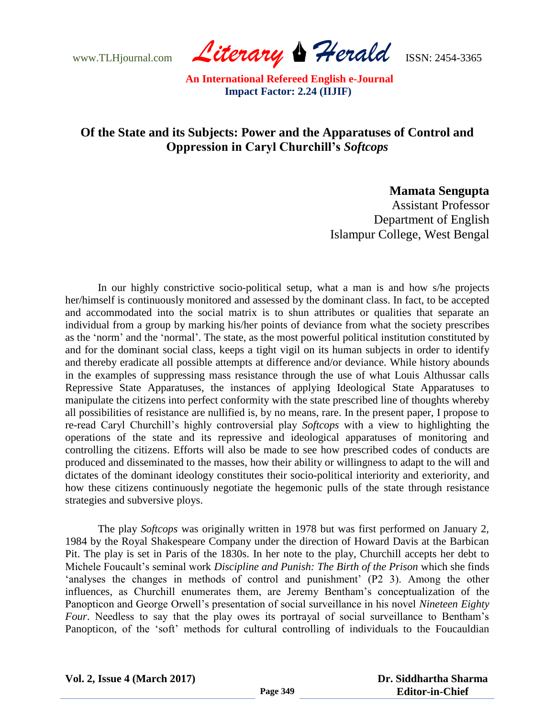www.TLHjournal.com *Literary Herald*ISSN: 2454-3365

## **Of the State and its Subjects: Power and the Apparatuses of Control and Oppression in Caryl Churchill's** *Softcops*

### **Mamata Sengupta**

Assistant Professor Department of English Islampur College, West Bengal

In our highly constrictive socio-political setup, what a man is and how s/he projects her/himself is continuously monitored and assessed by the dominant class. In fact, to be accepted and accommodated into the social matrix is to shun attributes or qualities that separate an individual from a group by marking his/her points of deviance from what the society prescribes as the "norm" and the "normal". The state, as the most powerful political institution constituted by and for the dominant social class, keeps a tight vigil on its human subjects in order to identify and thereby eradicate all possible attempts at difference and/or deviance. While history abounds in the examples of suppressing mass resistance through the use of what Louis Althussar calls Repressive State Apparatuses, the instances of applying Ideological State Apparatuses to manipulate the citizens into perfect conformity with the state prescribed line of thoughts whereby all possibilities of resistance are nullified is, by no means, rare. In the present paper, I propose to re-read Caryl Churchill"s highly controversial play *Softcops* with a view to highlighting the operations of the state and its repressive and ideological apparatuses of monitoring and controlling the citizens. Efforts will also be made to see how prescribed codes of conducts are produced and disseminated to the masses, how their ability or willingness to adapt to the will and dictates of the dominant ideology constitutes their socio-political interiority and exteriority, and how these citizens continuously negotiate the hegemonic pulls of the state through resistance strategies and subversive ploys.

The play *Softcops* was originally written in 1978 but was first performed on January 2, 1984 by the Royal Shakespeare Company under the direction of Howard Davis at the Barbican Pit. The play is set in Paris of the 1830s. In her note to the play, Churchill accepts her debt to Michele Foucault"s seminal work *Discipline and Punish: The Birth of the Prison* which she finds 'analyses the changes in methods of control and punishment' (P2 3). Among the other influences, as Churchill enumerates them, are Jeremy Bentham"s conceptualization of the Panopticon and George Orwell"s presentation of social surveillance in his novel *Nineteen Eighty Four*. Needless to say that the play owes its portrayal of social surveillance to Bentham's Panopticon, of the 'soft' methods for cultural controlling of individuals to the Foucauldian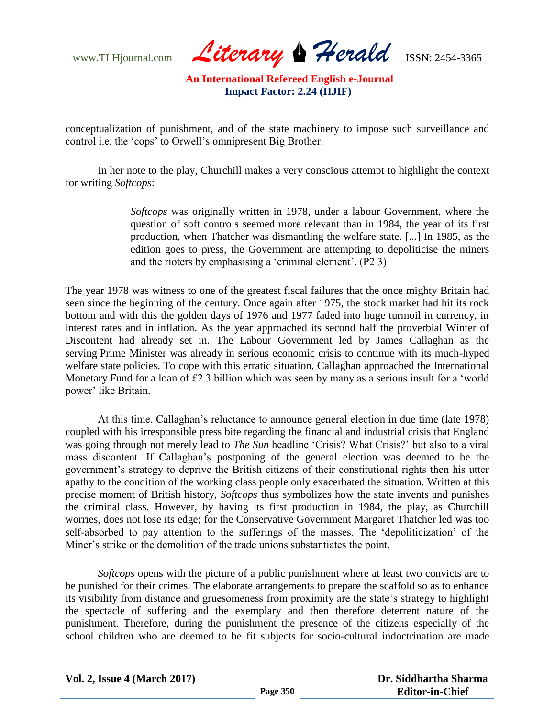www.TLHjournal.com *Literary* Perald **ISSN:** 2454-3365

conceptualization of punishment, and of the state machinery to impose such surveillance and control i.e. the "cops" to Orwell"s omnipresent Big Brother.

In her note to the play, Churchill makes a very conscious attempt to highlight the context for writing *Softcops*:

> *Softcops* was originally written in 1978, under a labour Government, where the question of soft controls seemed more relevant than in 1984, the year of its first production, when Thatcher was dismantling the welfare state. [...] In 1985, as the edition goes to press, the Government are attempting to depoliticise the miners and the rioters by emphasising a "criminal element". (P2 3)

The year 1978 was witness to one of the greatest fiscal failures that the once mighty Britain had seen since the beginning of the century. Once again after 1975, the stock market had hit its rock bottom and with this the golden days of 1976 and 1977 faded into huge turmoil in currency, in interest rates and in inflation. As the year approached its second half the proverbial Winter of Discontent had already set in. The Labour Government led by James Callaghan as the serving Prime Minister was already in serious economic crisis to continue with its much-hyped welfare state policies. To cope with this erratic situation, Callaghan approached the International Monetary Fund for a loan of £2.3 billion which was seen by many as a serious insult for a 'world power' like Britain.

At this time, Callaghan"s reluctance to announce general election in due time (late 1978) coupled with his irresponsible press bite regarding the financial and industrial crisis that England was going through not merely lead to *The Sun* headline "Crisis? What Crisis?" but also to a viral mass discontent. If Callaghan"s postponing of the general election was deemed to be the government"s strategy to deprive the British citizens of their constitutional rights then his utter apathy to the condition of the working class people only exacerbated the situation. Written at this precise moment of British history, *Softcops* thus symbolizes how the state invents and punishes the criminal class. However, by having its first production in 1984, the play, as Churchill worries, does not lose its edge; for the Conservative Government Margaret Thatcher led was too self-absorbed to pay attention to the sufferings of the masses. The "depoliticization" of the Miner"s strike or the demolition of the trade unions substantiates the point.

*Softcops* opens with the picture of a public punishment where at least two convicts are to be punished for their crimes. The elaborate arrangements to prepare the scaffold so as to enhance its visibility from distance and gruesomeness from proximity are the state's strategy to highlight the spectacle of suffering and the exemplary and then therefore deterrent nature of the punishment. Therefore, during the punishment the presence of the citizens especially of the school children who are deemed to be fit subjects for socio-cultural indoctrination are made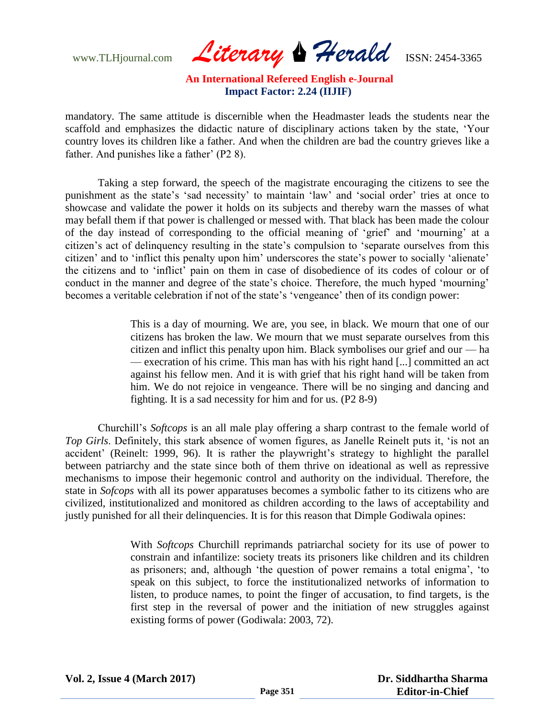www.TLHjournal.com *Literary Herald*ISSN: 2454-3365

mandatory. The same attitude is discernible when the Headmaster leads the students near the scaffold and emphasizes the didactic nature of disciplinary actions taken by the state, "Your country loves its children like a father. And when the children are bad the country grieves like a father. And punishes like a father' (P2 8).

Taking a step forward, the speech of the magistrate encouraging the citizens to see the punishment as the state's 'sad necessity' to maintain 'law' and 'social order' tries at once to showcase and validate the power it holds on its subjects and thereby warn the masses of what may befall them if that power is challenged or messed with. That black has been made the colour of the day instead of corresponding to the official meaning of "grief" and "mourning" at a citizen"s act of delinquency resulting in the state"s compulsion to "separate ourselves from this citizen' and to 'inflict this penalty upon him' underscores the state's power to socially 'alienate' the citizens and to "inflict" pain on them in case of disobedience of its codes of colour or of conduct in the manner and degree of the state's choice. Therefore, the much hyped 'mourning' becomes a veritable celebration if not of the state's 'vengeance' then of its condign power:

> This is a day of mourning. We are, you see, in black. We mourn that one of our citizens has broken the law. We mourn that we must separate ourselves from this citizen and inflict this penalty upon him. Black symbolises our grief and our — ha — execration of his crime. This man has with his right hand [...] committed an act against his fellow men. And it is with grief that his right hand will be taken from him. We do not rejoice in vengeance. There will be no singing and dancing and fighting. It is a sad necessity for him and for us. (P2 8-9)

Churchill"s *Softcops* is an all male play offering a sharp contrast to the female world of *Top Girls*. Definitely, this stark absence of women figures, as Janelle Reinelt puts it, "is not an accident' (Reinelt: 1999, 96). It is rather the playwright's strategy to highlight the parallel between patriarchy and the state since both of them thrive on ideational as well as repressive mechanisms to impose their hegemonic control and authority on the individual. Therefore, the state in *Sofcops* with all its power apparatuses becomes a symbolic father to its citizens who are civilized, institutionalized and monitored as children according to the laws of acceptability and justly punished for all their delinquencies. It is for this reason that Dimple Godiwala opines:

> With *Softcops* Churchill reprimands patriarchal society for its use of power to constrain and infantilize: society treats its prisoners like children and its children as prisoners; and, although 'the question of power remains a total enigma', 'to speak on this subject, to force the institutionalized networks of information to listen, to produce names, to point the finger of accusation, to find targets, is the first step in the reversal of power and the initiation of new struggles against existing forms of power (Godiwala: 2003, 72).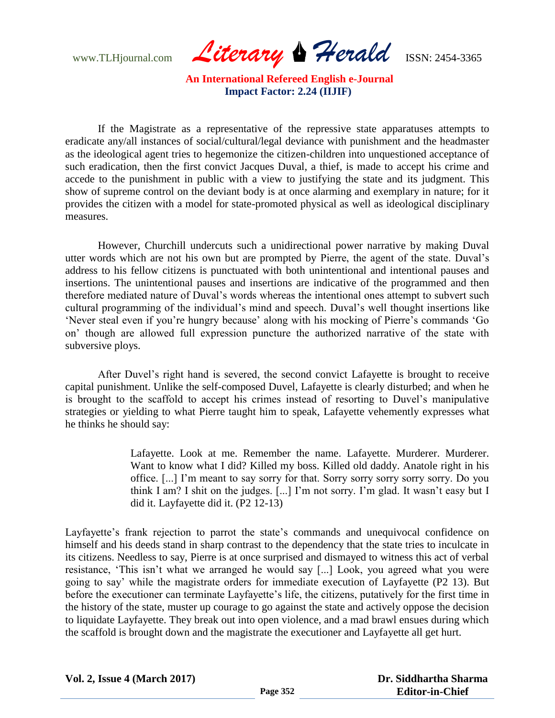www.TLHjournal.com *Literary Herald*ISSN: 2454-3365

If the Magistrate as a representative of the repressive state apparatuses attempts to eradicate any/all instances of social/cultural/legal deviance with punishment and the headmaster as the ideological agent tries to hegemonize the citizen-children into unquestioned acceptance of such eradication, then the first convict Jacques Duval, a thief, is made to accept his crime and accede to the punishment in public with a view to justifying the state and its judgment. This show of supreme control on the deviant body is at once alarming and exemplary in nature; for it provides the citizen with a model for state-promoted physical as well as ideological disciplinary measures.

However, Churchill undercuts such a unidirectional power narrative by making Duval utter words which are not his own but are prompted by Pierre, the agent of the state. Duval"s address to his fellow citizens is punctuated with both unintentional and intentional pauses and insertions. The unintentional pauses and insertions are indicative of the programmed and then therefore mediated nature of Duval"s words whereas the intentional ones attempt to subvert such cultural programming of the individual's mind and speech. Duval's well thought insertions like "Never steal even if you"re hungry because" along with his mocking of Pierre"s commands "Go on" though are allowed full expression puncture the authorized narrative of the state with subversive ploys.

After Duvel"s right hand is severed, the second convict Lafayette is brought to receive capital punishment. Unlike the self-composed Duvel, Lafayette is clearly disturbed; and when he is brought to the scaffold to accept his crimes instead of resorting to Duvel"s manipulative strategies or yielding to what Pierre taught him to speak, Lafayette vehemently expresses what he thinks he should say:

> Lafayette. Look at me. Remember the name. Lafayette. Murderer. Murderer. Want to know what I did? Killed my boss. Killed old daddy. Anatole right in his office. [...] I"m meant to say sorry for that. Sorry sorry sorry sorry sorry. Do you think I am? I shit on the judges. [...] I"m not sorry. I"m glad. It wasn"t easy but I did it. Layfayette did it. (P2 12-13)

Layfayette's frank rejection to parrot the state's commands and unequivocal confidence on himself and his deeds stand in sharp contrast to the dependency that the state tries to inculcate in its citizens. Needless to say, Pierre is at once surprised and dismayed to witness this act of verbal resistance, "This isn"t what we arranged he would say [...] Look, you agreed what you were going to say" while the magistrate orders for immediate execution of Layfayette (P2 13). But before the executioner can terminate Layfayette's life, the citizens, putatively for the first time in the history of the state, muster up courage to go against the state and actively oppose the decision to liquidate Layfayette. They break out into open violence, and a mad brawl ensues during which the scaffold is brought down and the magistrate the executioner and Layfayette all get hurt.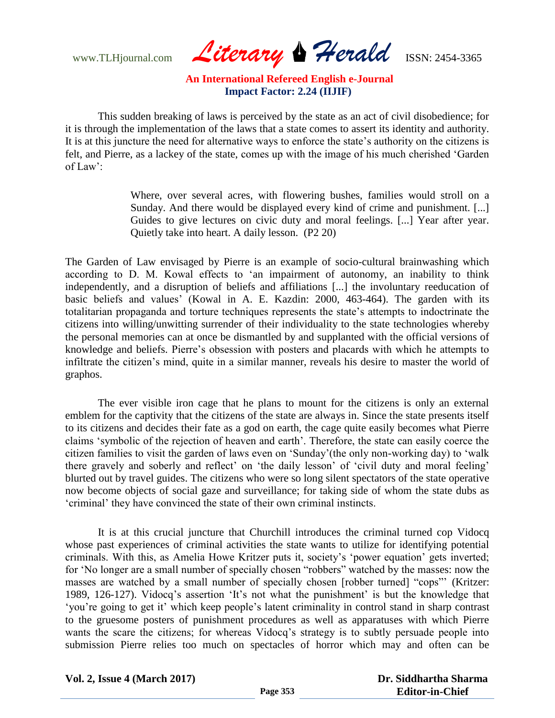www.TLHjournal.com *Literary* Perald **ISSN:** 2454-3365

This sudden breaking of laws is perceived by the state as an act of civil disobedience; for it is through the implementation of the laws that a state comes to assert its identity and authority. It is at this juncture the need for alternative ways to enforce the state's authority on the citizens is felt, and Pierre, as a lackey of the state, comes up with the image of his much cherished "Garden of Law':

> Where, over several acres, with flowering bushes, families would stroll on a Sunday. And there would be displayed every kind of crime and punishment. [...] Guides to give lectures on civic duty and moral feelings. [...] Year after year. Quietly take into heart. A daily lesson. (P2 20)

The Garden of Law envisaged by Pierre is an example of socio-cultural brainwashing which according to D. M. Kowal effects to "an impairment of autonomy, an inability to think independently, and a disruption of beliefs and affiliations [...] the involuntary reeducation of basic beliefs and values" (Kowal in A. E. Kazdin: 2000, 463-464). The garden with its totalitarian propaganda and torture techniques represents the state"s attempts to indoctrinate the citizens into willing/unwitting surrender of their individuality to the state technologies whereby the personal memories can at once be dismantled by and supplanted with the official versions of knowledge and beliefs. Pierre"s obsession with posters and placards with which he attempts to infiltrate the citizen's mind, quite in a similar manner, reveals his desire to master the world of graphos.

The ever visible iron cage that he plans to mount for the citizens is only an external emblem for the captivity that the citizens of the state are always in. Since the state presents itself to its citizens and decides their fate as a god on earth, the cage quite easily becomes what Pierre claims "symbolic of the rejection of heaven and earth". Therefore, the state can easily coerce the citizen families to visit the garden of laws even on "Sunday"(the only non-working day) to "walk there gravely and soberly and reflect' on 'the daily lesson' of 'civil duty and moral feeling' blurted out by travel guides. The citizens who were so long silent spectators of the state operative now become objects of social gaze and surveillance; for taking side of whom the state dubs as "criminal" they have convinced the state of their own criminal instincts.

It is at this crucial juncture that Churchill introduces the criminal turned cop Vidocq whose past experiences of criminal activities the state wants to utilize for identifying potential criminals. With this, as Amelia Howe Kritzer puts it, society"s "power equation" gets inverted; for "No longer are a small number of specially chosen "robbers" watched by the masses: now the masses are watched by a small number of specially chosen [robber turned] "cops"" (Kritzer: 1989, 126-127). Vidocq"s assertion "It"s not what the punishment" is but the knowledge that "you"re going to get it" which keep people"s latent criminality in control stand in sharp contrast to the gruesome posters of punishment procedures as well as apparatuses with which Pierre wants the scare the citizens; for whereas Vidocq's strategy is to subtly persuade people into submission Pierre relies too much on spectacles of horror which may and often can be

**Vol. 2, Issue 4 (March 2017)**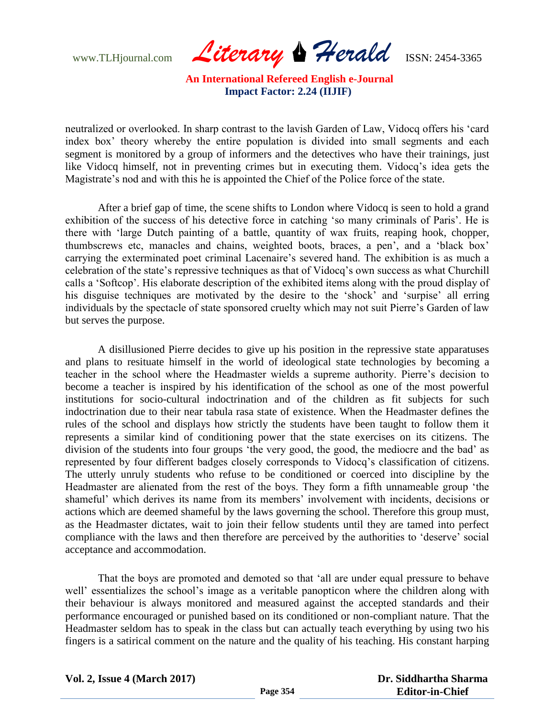www.TLHjournal.com *Literary Herald*ISSN: 2454-3365

neutralized or overlooked. In sharp contrast to the lavish Garden of Law, Vidocq offers his "card index box" theory whereby the entire population is divided into small segments and each segment is monitored by a group of informers and the detectives who have their trainings, just like Vidocq himself, not in preventing crimes but in executing them. Vidocq"s idea gets the Magistrate's nod and with this he is appointed the Chief of the Police force of the state.

After a brief gap of time, the scene shifts to London where Vidocq is seen to hold a grand exhibition of the success of his detective force in catching "so many criminals of Paris". He is there with "large Dutch painting of a battle, quantity of wax fruits, reaping hook, chopper, thumbscrews etc, manacles and chains, weighted boots, braces, a pen", and a "black box" carrying the exterminated poet criminal Lacenaire"s severed hand. The exhibition is as much a celebration of the state"s repressive techniques as that of Vidocq"s own success as what Churchill calls a "Softcop". His elaborate description of the exhibited items along with the proud display of his disguise techniques are motivated by the desire to the 'shock' and 'surpise' all erring individuals by the spectacle of state sponsored cruelty which may not suit Pierre"s Garden of law but serves the purpose.

A disillusioned Pierre decides to give up his position in the repressive state apparatuses and plans to resituate himself in the world of ideological state technologies by becoming a teacher in the school where the Headmaster wields a supreme authority. Pierre"s decision to become a teacher is inspired by his identification of the school as one of the most powerful institutions for socio-cultural indoctrination and of the children as fit subjects for such indoctrination due to their near tabula rasa state of existence. When the Headmaster defines the rules of the school and displays how strictly the students have been taught to follow them it represents a similar kind of conditioning power that the state exercises on its citizens. The division of the students into four groups 'the very good, the good, the mediocre and the bad' as represented by four different badges closely corresponds to Vidocq"s classification of citizens. The utterly unruly students who refuse to be conditioned or coerced into discipline by the Headmaster are alienated from the rest of the boys. They form a fifth unnameable group "the shameful" which derives its name from its members" involvement with incidents, decisions or actions which are deemed shameful by the laws governing the school. Therefore this group must, as the Headmaster dictates, wait to join their fellow students until they are tamed into perfect compliance with the laws and then therefore are perceived by the authorities to "deserve" social acceptance and accommodation.

That the boys are promoted and demoted so that "all are under equal pressure to behave well' essentializes the school's image as a veritable panopticon where the children along with their behaviour is always monitored and measured against the accepted standards and their performance encouraged or punished based on its conditioned or non-compliant nature. That the Headmaster seldom has to speak in the class but can actually teach everything by using two his fingers is a satirical comment on the nature and the quality of his teaching. His constant harping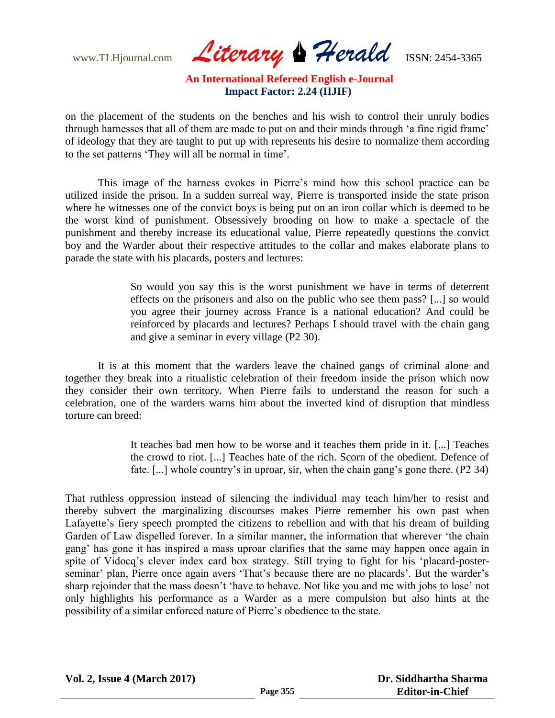www.TLHjournal.com **Literary Herald ISSN: 2454-3365** 

on the placement of the students on the benches and his wish to control their unruly bodies through harnesses that all of them are made to put on and their minds through "a fine rigid frame" of ideology that they are taught to put up with represents his desire to normalize them according to the set patterns "They will all be normal in time".

This image of the harness evokes in Pierre"s mind how this school practice can be utilized inside the prison. In a sudden surreal way, Pierre is transported inside the state prison where he witnesses one of the convict boys is being put on an iron collar which is deemed to be the worst kind of punishment. Obsessively brooding on how to make a spectacle of the punishment and thereby increase its educational value, Pierre repeatedly questions the convict boy and the Warder about their respective attitudes to the collar and makes elaborate plans to parade the state with his placards, posters and lectures:

> So would you say this is the worst punishment we have in terms of deterrent effects on the prisoners and also on the public who see them pass? [...] so would you agree their journey across France is a national education? And could be reinforced by placards and lectures? Perhaps I should travel with the chain gang and give a seminar in every village (P2 30).

It is at this moment that the warders leave the chained gangs of criminal alone and together they break into a ritualistic celebration of their freedom inside the prison which now they consider their own territory. When Pierre fails to understand the reason for such a celebration, one of the warders warns him about the inverted kind of disruption that mindless torture can breed:

> It teaches bad men how to be worse and it teaches them pride in it. [...] Teaches the crowd to riot. [...] Teaches hate of the rich. Scorn of the obedient. Defence of fate. [...] whole country's in uproar, sir, when the chain gang's gone there. (P2 34)

That ruthless oppression instead of silencing the individual may teach him/her to resist and thereby subvert the marginalizing discourses makes Pierre remember his own past when Lafayette's fiery speech prompted the citizens to rebellion and with that his dream of building Garden of Law dispelled forever. In a similar manner, the information that wherever "the chain gang" has gone it has inspired a mass uproar clarifies that the same may happen once again in spite of Vidocq"s clever index card box strategy. Still trying to fight for his "placard-posterseminar' plan, Pierre once again avers 'That's because there are no placards'. But the warder's sharp rejoinder that the mass doesn't 'have to behave. Not like you and me with jobs to lose' not only highlights his performance as a Warder as a mere compulsion but also hints at the possibility of a similar enforced nature of Pierre"s obedience to the state.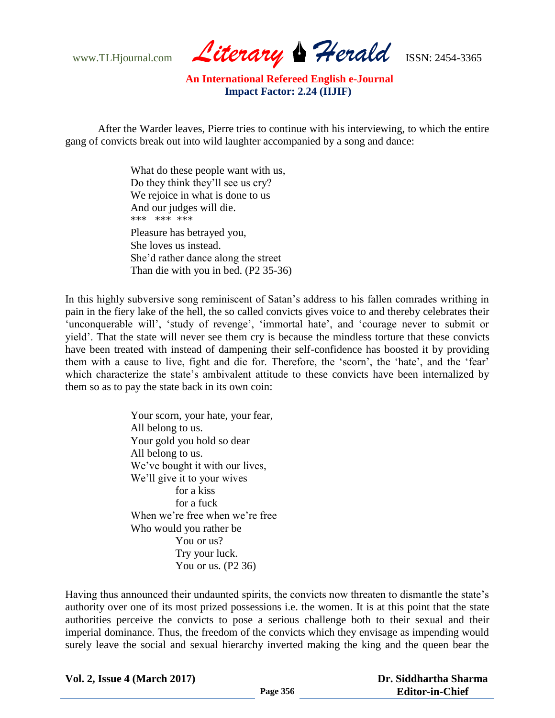www.TLHjournal.com *Literary Herald*ISSN: 2454-3365

After the Warder leaves, Pierre tries to continue with his interviewing, to which the entire gang of convicts break out into wild laughter accompanied by a song and dance:

> What do these people want with us, Do they think they"ll see us cry? We rejoice in what is done to us And our judges will die. \*\*\* \*\*\* \*\*\* Pleasure has betrayed you, She loves us instead. She"d rather dance along the street Than die with you in bed. (P2 35-36)

In this highly subversive song reminiscent of Satan"s address to his fallen comrades writhing in pain in the fiery lake of the hell, the so called convicts gives voice to and thereby celebrates their 'unconquerable will', 'study of revenge', 'immortal hate', and 'courage never to submit or yield". That the state will never see them cry is because the mindless torture that these convicts have been treated with instead of dampening their self-confidence has boosted it by providing them with a cause to live, fight and die for. Therefore, the 'scorn', the 'hate', and the 'fear' which characterize the state's ambivalent attitude to these convicts have been internalized by them so as to pay the state back in its own coin:

> Your scorn, your hate, your fear, All belong to us. Your gold you hold so dear All belong to us. We've bought it with our lives, We"ll give it to your wives for a kiss for a fuck When we're free when we're free Who would you rather be You or us? Try your luck. You or us. (P2 36)

Having thus announced their undaunted spirits, the convicts now threaten to dismantle the state's authority over one of its most prized possessions i.e. the women. It is at this point that the state authorities perceive the convicts to pose a serious challenge both to their sexual and their imperial dominance. Thus, the freedom of the convicts which they envisage as impending would surely leave the social and sexual hierarchy inverted making the king and the queen bear the

**Vol. 2, Issue 4 (March 2017)**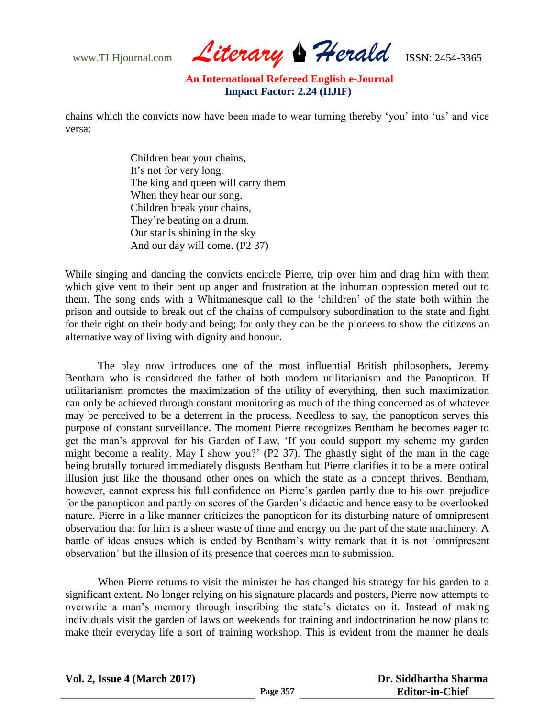www.TLHjournal.com **Literary Herald ISSN: 2454-3365** 

chains which the convicts now have been made to wear turning thereby "you" into "us" and vice versa:

> Children bear your chains, It's not for very long. The king and queen will carry them When they hear our song. Children break your chains, They"re beating on a drum. Our star is shining in the sky And our day will come. (P2 37)

While singing and dancing the convicts encircle Pierre, trip over him and drag him with them which give vent to their pent up anger and frustration at the inhuman oppression meted out to them. The song ends with a Whitmanesque call to the "children" of the state both within the prison and outside to break out of the chains of compulsory subordination to the state and fight for their right on their body and being; for only they can be the pioneers to show the citizens an alternative way of living with dignity and honour.

The play now introduces one of the most influential British philosophers, Jeremy Bentham who is considered the father of both modern utilitarianism and the Panopticon. If utilitarianism promotes the maximization of the utility of everything, then such maximization can only be achieved through constant monitoring as much of the thing concerned as of whatever may be perceived to be a deterrent in the process. Needless to say, the panopticon serves this purpose of constant surveillance. The moment Pierre recognizes Bentham he becomes eager to get the man"s approval for his Garden of Law, "If you could support my scheme my garden might become a reality. May I show you?" (P2 37). The ghastly sight of the man in the cage being brutally tortured immediately disgusts Bentham but Pierre clarifies it to be a mere optical illusion just like the thousand other ones on which the state as a concept thrives. Bentham, however, cannot express his full confidence on Pierre's garden partly due to his own prejudice for the panopticon and partly on scores of the Garden"s didactic and hence easy to be overlooked nature. Pierre in a like manner criticizes the panopticon for its disturbing nature of omnipresent observation that for him is a sheer waste of time and energy on the part of the state machinery. A battle of ideas ensues which is ended by Bentham"s witty remark that it is not "omnipresent observation" but the illusion of its presence that coerces man to submission.

When Pierre returns to visit the minister he has changed his strategy for his garden to a significant extent. No longer relying on his signature placards and posters, Pierre now attempts to overwrite a man's memory through inscribing the state's dictates on it. Instead of making individuals visit the garden of laws on weekends for training and indoctrination he now plans to make their everyday life a sort of training workshop. This is evident from the manner he deals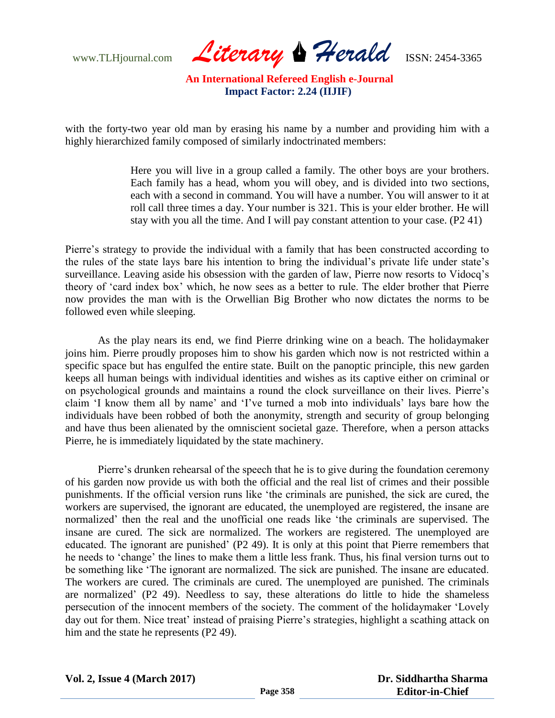www.TLHjournal.com *Literary* Perald **ISSN:** 2454-3365

with the forty-two year old man by erasing his name by a number and providing him with a highly hierarchized family composed of similarly indoctrinated members:

> Here you will live in a group called a family. The other boys are your brothers. Each family has a head, whom you will obey, and is divided into two sections, each with a second in command. You will have a number. You will answer to it at roll call three times a day. Your number is 321. This is your elder brother. He will stay with you all the time. And I will pay constant attention to your case. (P2 41)

Pierre's strategy to provide the individual with a family that has been constructed according to the rules of the state lays bare his intention to bring the individual"s private life under state"s surveillance. Leaving aside his obsession with the garden of law, Pierre now resorts to Vidocq"s theory of "card index box" which, he now sees as a better to rule. The elder brother that Pierre now provides the man with is the Orwellian Big Brother who now dictates the norms to be followed even while sleeping.

As the play nears its end, we find Pierre drinking wine on a beach. The holidaymaker joins him. Pierre proudly proposes him to show his garden which now is not restricted within a specific space but has engulfed the entire state. Built on the panoptic principle, this new garden keeps all human beings with individual identities and wishes as its captive either on criminal or on psychological grounds and maintains a round the clock surveillance on their lives. Pierre"s claim "I know them all by name" and "I"ve turned a mob into individuals" lays bare how the individuals have been robbed of both the anonymity, strength and security of group belonging and have thus been alienated by the omniscient societal gaze. Therefore, when a person attacks Pierre, he is immediately liquidated by the state machinery.

Pierre"s drunken rehearsal of the speech that he is to give during the foundation ceremony of his garden now provide us with both the official and the real list of crimes and their possible punishments. If the official version runs like "the criminals are punished, the sick are cured, the workers are supervised, the ignorant are educated, the unemployed are registered, the insane are normalized" then the real and the unofficial one reads like "the criminals are supervised. The insane are cured. The sick are normalized. The workers are registered. The unemployed are educated. The ignorant are punished' (P2 49). It is only at this point that Pierre remembers that he needs to "change" the lines to make them a little less frank. Thus, his final version turns out to be something like "The ignorant are normalized. The sick are punished. The insane are educated. The workers are cured. The criminals are cured. The unemployed are punished. The criminals are normalized" (P2 49). Needless to say, these alterations do little to hide the shameless persecution of the innocent members of the society. The comment of the holidaymaker "Lovely day out for them. Nice treat' instead of praising Pierre's strategies, highlight a scathing attack on him and the state he represents (P2 49).